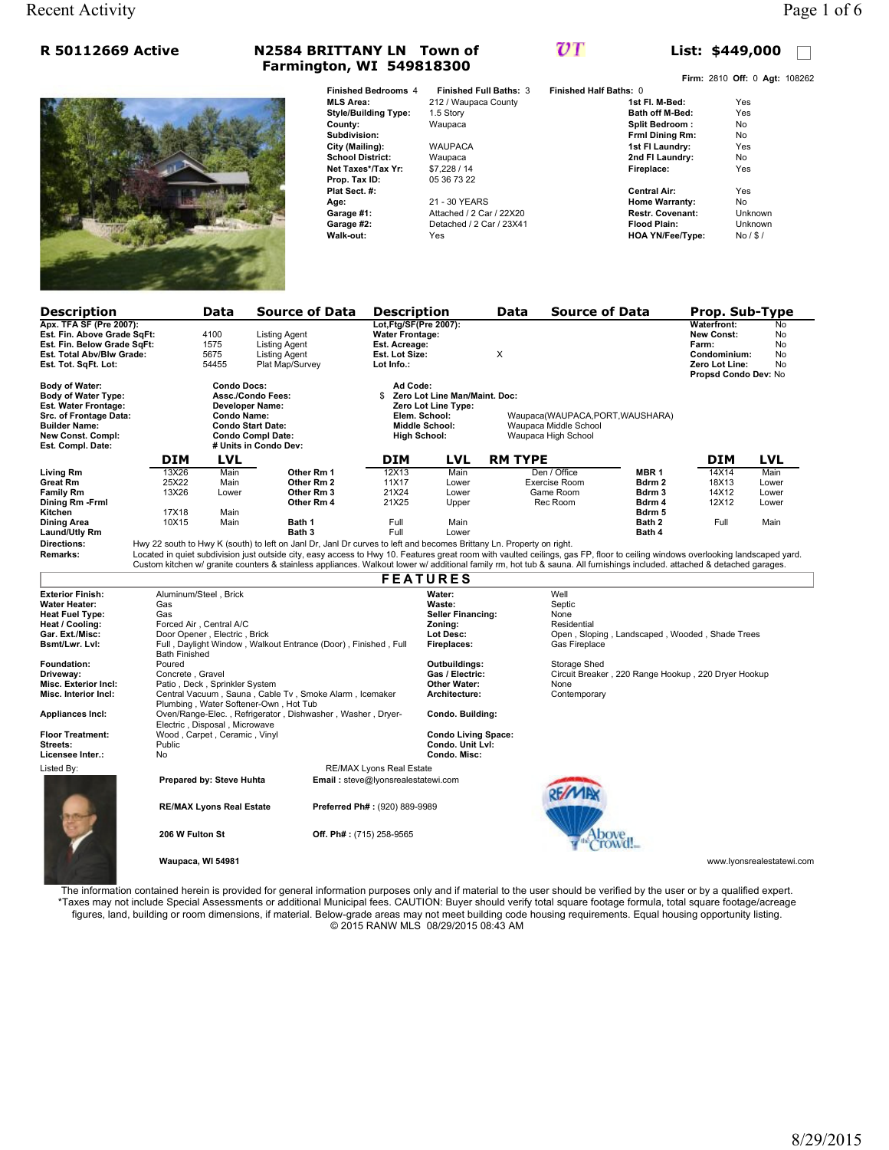

### R 50112669 Active N2584 BRITTANY LN Town of Farmington, WI 549818300

 $v\tau$ 

List: \$449,000  $\Box$ 

Firm: 2810 Off: 0 Agt: 108262

| <b>Finished Bedrooms 4</b>  | <b>Finished Full Baths: 3</b> | Finished Half Baths: 0  |                |
|-----------------------------|-------------------------------|-------------------------|----------------|
| <b>MLS Area:</b>            | 212 / Waupaca County          | 1st Fl. M-Bed:          | Yes            |
| <b>Style/Building Type:</b> | 1.5 Story                     | Bath off M-Bed:         | Yes            |
| County:                     | Waupaca                       | <b>Split Bedroom:</b>   | No             |
| Subdivision:                |                               | Frml Dining Rm:         | No             |
| City (Mailing):             | <b>WAUPACA</b>                | 1st FI Laundry:         | Yes            |
| <b>School District:</b>     | Waupaca                       | 2nd FI Laundry:         | No.            |
| Net Taxes*/Tax Yr:          | \$7.228 / 14                  | Fireplace:              | Yes            |
| Prop. Tax ID:               | 05 36 73 22                   |                         |                |
| Plat Sect. #:               |                               | <b>Central Air:</b>     | Yes            |
| Age:                        | 21 - 30 YEARS                 | <b>Home Warranty:</b>   | N <sub>0</sub> |
| Garage #1:                  | Attached / 2 Car / 22X20      | <b>Restr. Covenant:</b> | Unknown        |
| Garage #2:                  | Detached / 2 Car / 23X41      | Flood Plain:            | Unknown        |
| Walk-out:                   | Yes                           | <b>HOA YN/Fee/Type:</b> | No/S/          |
|                             |                               |                         |                |

| <b>Description</b>                                                                       |                                                                                                     | Data                                  | <b>Source of Data</b>                                                                                                                                                           | <b>Description</b>                                                |                                                      | <b>Data</b>                                                                    | <b>Source of Data</b> |                                                     | Prop. Sub-Type                                         |                           |
|------------------------------------------------------------------------------------------|-----------------------------------------------------------------------------------------------------|---------------------------------------|---------------------------------------------------------------------------------------------------------------------------------------------------------------------------------|-------------------------------------------------------------------|------------------------------------------------------|--------------------------------------------------------------------------------|-----------------------|-----------------------------------------------------|--------------------------------------------------------|---------------------------|
| Apx. TFA SF (Pre 2007):<br>Est. Fin. Above Grade SqFt:<br>Est. Fin. Below Grade SqFt:    |                                                                                                     | 4100<br>1575                          | <b>Listing Agent</b><br><b>Listing Agent</b>                                                                                                                                    | Lot, Ftg/SF(Pre 2007):<br><b>Water Frontage:</b><br>Est. Acreage: |                                                      |                                                                                |                       |                                                     | <b>Waterfront:</b><br><b>New Const:</b><br>Farm:       | <b>No</b><br>No<br>No     |
| Est. Total Abv/Blw Grade:<br>Est. Tot. SqFt. Lot:                                        |                                                                                                     | 5675<br>54455                         | <b>Listing Agent</b><br>Plat Map/Survey                                                                                                                                         | Est. Lot Size:<br>Lot Info.:                                      |                                                      | X                                                                              |                       |                                                     | Condominium:<br>Zero Lot Line:<br>Propsd Condo Dev: No | <b>No</b><br><b>No</b>    |
| Body of Water:<br><b>Body of Water Type:</b><br><b>Est. Water Frontage:</b>              |                                                                                                     | <b>Condo Docs:</b><br>Developer Name: | Assc./Condo Fees:                                                                                                                                                               | Ad Code:<br>S                                                     | Zero Lot Line Man/Maint, Doc:<br>Zero Lot Line Type: |                                                                                |                       |                                                     |                                                        |                           |
| Src. of Frontage Data:<br><b>Builder Name:</b><br>New Const. Compl:<br>Est. Compl. Date: | <b>Condo Name:</b><br><b>Condo Start Date:</b><br><b>Condo Compl Date:</b><br># Units in Condo Dev: |                                       | Elem. School:<br><b>Middle School:</b><br><b>High School:</b>                                                                                                                   |                                                                   |                                                      | Waupaca(WAUPACA,PORT,WAUSHARA)<br>Waupaca Middle School<br>Waupaca High School |                       |                                                     |                                                        |                           |
|                                                                                          | <b>DIM</b>                                                                                          | <b>LVL</b>                            |                                                                                                                                                                                 | <b>DIM</b>                                                        | <b>LVL</b>                                           | <b>RM TYPE</b>                                                                 |                       |                                                     | <b>DIM</b>                                             | <b>LVL</b>                |
| Living Rm                                                                                | 13X26                                                                                               | Main                                  | Other Rm 1                                                                                                                                                                      | 12X13                                                             | Main                                                 |                                                                                | Den / Office          | MBR <sub>1</sub>                                    | 14X14                                                  | Main                      |
| <b>Great Rm</b>                                                                          | 25X22                                                                                               | Main                                  | Other Rm 2                                                                                                                                                                      | 11X17                                                             | Lower                                                |                                                                                | Exercise Room         | Bdrm 2                                              | 18X13                                                  | Lower                     |
| <b>Family Rm</b>                                                                         | 13X26                                                                                               | Lower                                 | Other Rm 3                                                                                                                                                                      | 21X24                                                             | Lower                                                |                                                                                | Game Room             | Bdrm 3                                              | 14X12                                                  | Lower                     |
| Dining Rm Frml                                                                           |                                                                                                     |                                       | Other Rm 4                                                                                                                                                                      | 21X25                                                             | Upper                                                |                                                                                | Rec Room              | Bdrm 4                                              | 12X12                                                  | Lower                     |
| Kitchen                                                                                  | 17X18                                                                                               | Main                                  |                                                                                                                                                                                 |                                                                   |                                                      |                                                                                |                       | Bdrm 5                                              |                                                        |                           |
| <b>Dining Area</b><br>Laund/Utly Rm                                                      | 10X15                                                                                               | Main                                  | Bath 1<br>Bath 3                                                                                                                                                                | Full<br>Full                                                      | Main<br>Lower                                        |                                                                                |                       | Bath 2<br>Bath 4                                    | Full                                                   | Main                      |
| <b>Directions:</b>                                                                       |                                                                                                     |                                       | Hwy 22 south to Hwy K (south) to left on Janl Dr, Janl Dr curves to left and becomes Brittany Ln. Property on right.                                                            |                                                                   |                                                      |                                                                                |                       |                                                     |                                                        |                           |
| Remarks:                                                                                 |                                                                                                     |                                       | Located in quiet subdivision just outside city, easy access to Hwy 10. Features great room with vaulted ceilings, gas FP, floor to ceiling windows overlooking landscaped yard. |                                                                   |                                                      |                                                                                |                       |                                                     |                                                        |                           |
|                                                                                          |                                                                                                     |                                       | Custom kitchen w/ granite counters & stainless appliances. Walkout lower w/ additional family rm, hot tub & sauna. All furnishings included. attached & detached garages.       |                                                                   |                                                      |                                                                                |                       |                                                     |                                                        |                           |
|                                                                                          |                                                                                                     |                                       |                                                                                                                                                                                 |                                                                   | <b>FEATURES</b>                                      |                                                                                |                       |                                                     |                                                        |                           |
| <b>Exterior Finish:</b>                                                                  |                                                                                                     | Aluminum/Steel, Brick                 |                                                                                                                                                                                 |                                                                   | Water:                                               |                                                                                | Well                  |                                                     |                                                        |                           |
| <b>Water Heater:</b>                                                                     | Gas                                                                                                 |                                       |                                                                                                                                                                                 |                                                                   | Waste:                                               |                                                                                | Septic                |                                                     |                                                        |                           |
| <b>Heat Fuel Type:</b>                                                                   | Gas                                                                                                 |                                       |                                                                                                                                                                                 |                                                                   | <b>Seller Financing:</b>                             |                                                                                | None                  |                                                     |                                                        |                           |
| Heat / Cooling:                                                                          |                                                                                                     | Forced Air, Central A/C               |                                                                                                                                                                                 |                                                                   | Zoning:                                              |                                                                                | Residential           |                                                     |                                                        |                           |
| Gar. Ext./Misc:<br>Bsmt/Lwr. Lvl:                                                        |                                                                                                     | Door Opener, Electric, Brick          | Full, Daylight Window, Walkout Entrance (Door), Finished, Full                                                                                                                  |                                                                   | <b>Lot Desc:</b><br>Fireplaces:                      |                                                                                | Gas Fireplace         | Open, Sloping, Landscaped, Wooded, Shade Trees      |                                                        |                           |
|                                                                                          | <b>Bath Finished</b><br>Poured                                                                      |                                       |                                                                                                                                                                                 |                                                                   |                                                      |                                                                                |                       |                                                     |                                                        |                           |
| Foundation:<br>Driveway:                                                                 | Concrete, Gravel                                                                                    |                                       |                                                                                                                                                                                 |                                                                   | Outbuildings:<br>Gas / Electric:                     |                                                                                | Storage Shed          | Circuit Breaker, 220 Range Hookup, 220 Dryer Hookup |                                                        |                           |
| <b>Misc. Exterior Incl:</b>                                                              |                                                                                                     | Patio, Deck, Sprinkler System         |                                                                                                                                                                                 |                                                                   | <b>Other Water:</b>                                  |                                                                                | None                  |                                                     |                                                        |                           |
| Misc. Interior Incl:                                                                     |                                                                                                     |                                       | Central Vacuum, Sauna, Cable Tv, Smoke Alarm, Icemaker<br>Plumbing, Water Softener-Own, Hot Tub                                                                                 |                                                                   | Architecture:                                        |                                                                                | Contemporary          |                                                     |                                                        |                           |
| <b>Appliances Incl:</b>                                                                  |                                                                                                     | Electric, Disposal, Microwave         | Oven/Range-Elec., Refrigerator, Dishwasher, Washer, Dryer-                                                                                                                      |                                                                   | Condo. Building:                                     |                                                                                |                       |                                                     |                                                        |                           |
| <b>Floor Treatment:</b><br>Streets:                                                      | Public                                                                                              | Wood, Carpet, Ceramic, Vinyl          |                                                                                                                                                                                 |                                                                   | <b>Condo Living Space:</b><br>Condo. Unit LvI:       |                                                                                |                       |                                                     |                                                        |                           |
| Licensee Inter.:                                                                         | No                                                                                                  |                                       |                                                                                                                                                                                 |                                                                   | Condo. Misc:                                         |                                                                                |                       |                                                     |                                                        |                           |
| Listed By:                                                                               |                                                                                                     |                                       |                                                                                                                                                                                 | RE/MAX Lyons Real Estate                                          |                                                      |                                                                                |                       |                                                     |                                                        |                           |
|                                                                                          |                                                                                                     | Prepared by: Steve Huhta              |                                                                                                                                                                                 | Email: steve@lyonsrealestatewi.com                                |                                                      |                                                                                |                       |                                                     |                                                        |                           |
|                                                                                          |                                                                                                     | <b>RE/MAX Lyons Real Estate</b>       |                                                                                                                                                                                 | Preferred Ph#: (920) 889-9989                                     |                                                      |                                                                                |                       |                                                     |                                                        |                           |
|                                                                                          | 206 W Fulton St                                                                                     |                                       | Off. Ph#: (715) 258-9565                                                                                                                                                        |                                                                   |                                                      |                                                                                |                       |                                                     |                                                        |                           |
|                                                                                          |                                                                                                     | Waupaca, WI 54981                     |                                                                                                                                                                                 |                                                                   |                                                      |                                                                                |                       |                                                     |                                                        | www.lyonsrealestatewi.com |

The information contained herein is provided for general information purposes only and if material to the user should be verified by the user or by a qualified expert. \*Taxes may not include Special Assessments or additional Municipal fees. CAUTION: Buyer should verify total square footage formula, total square footage/acreage figures, land, building or room dimensions, if material. Below-grade areas may not meet building code housing requirements. Equal housing opportunity listing. © 2015 RANW MLS 08/29/2015 08:43 AM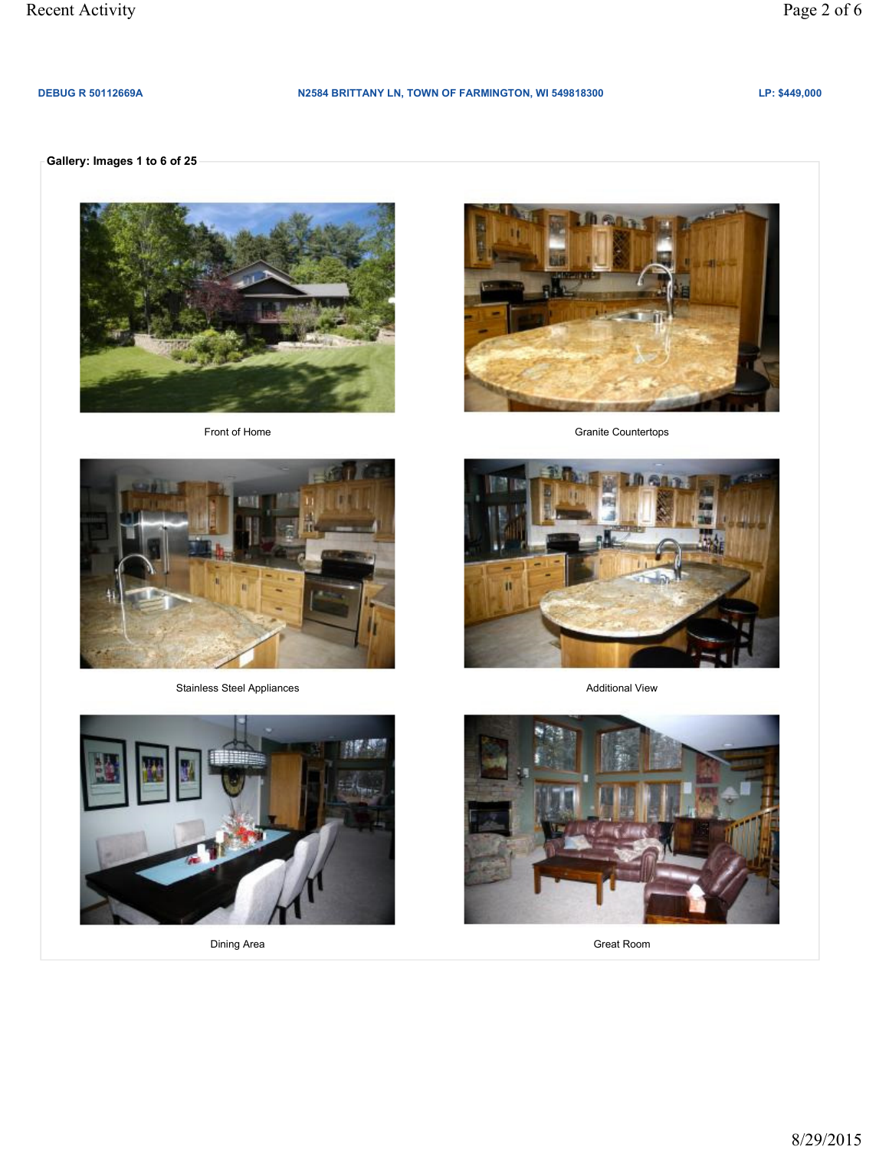### DEBUG R 50112669A N2584 BRITTANY LN, TOWN OF FARMINGTON, WI 549818300

## Gallery: Images 1 to 6 of 25





Front of Home Granite Countertops **Front** of Home Granite Countertops **Granite** Countertops



Stainless Steel Appliances **Additional View** Additional View







Dining Area Great Room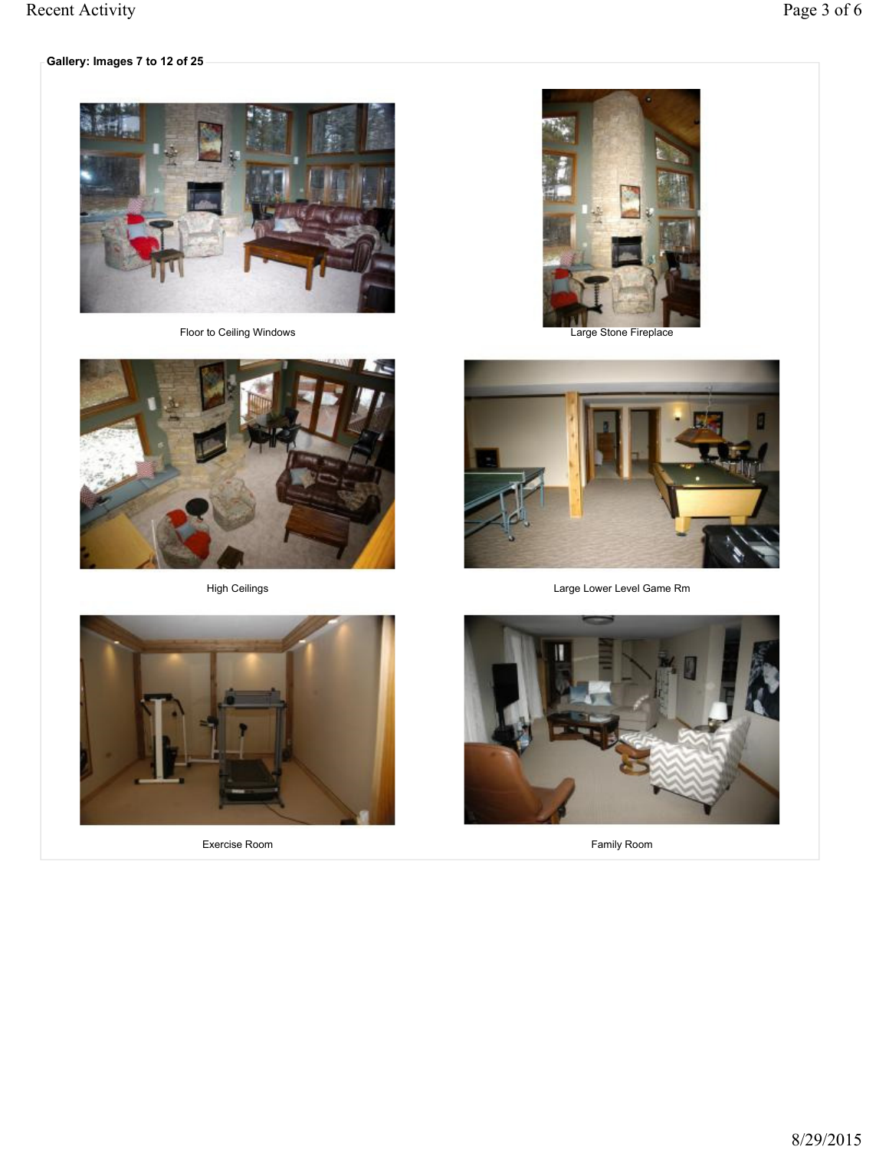# Gallery: Images 7 to 12 of 25



Floor to Ceiling Windows **Example 20** Large Stone Fireplace





Exercise Room **Family Room Family Room Family Room** 





High Ceilings **Large Lower Level Game Rm Large Lower Level Game Rm** 

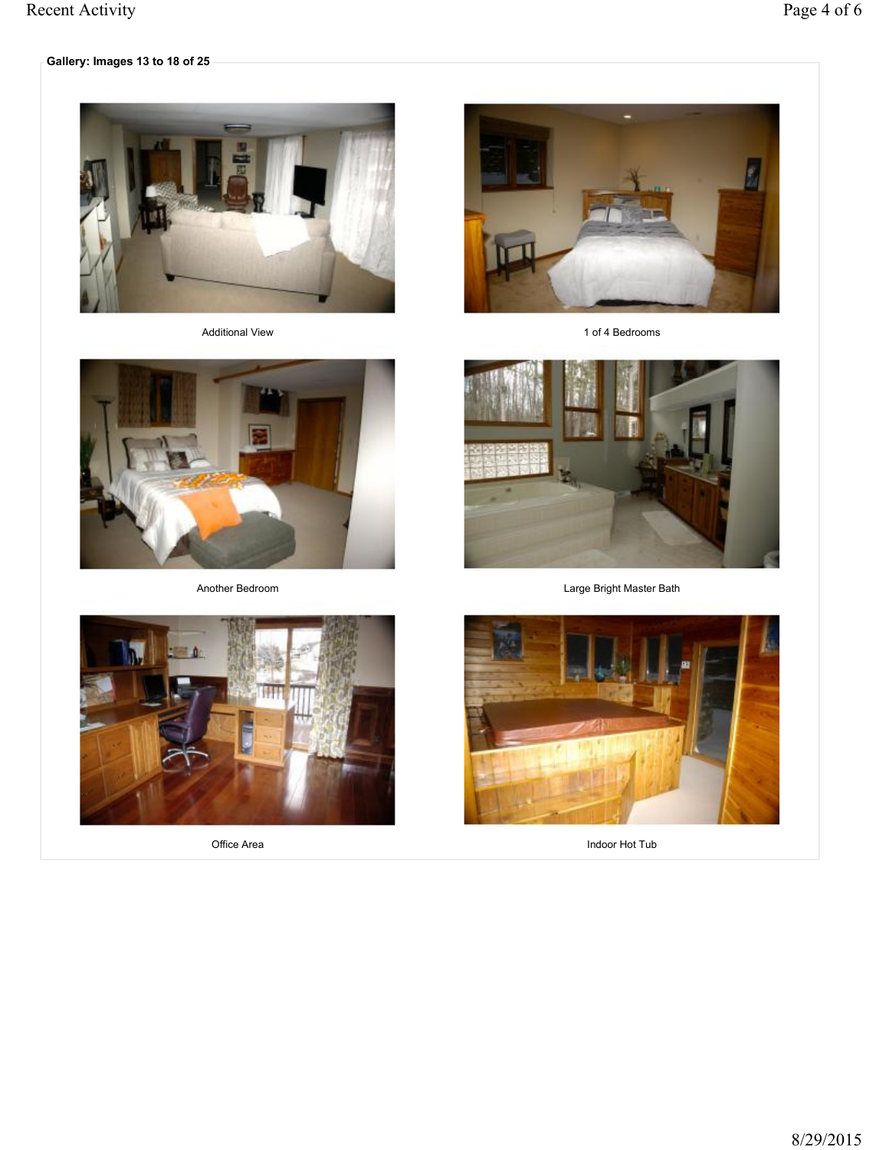## Gallery: Images 13 to 18 of 25









Additional View 1 of 4 Bedrooms



Another Bedroom **Community** Channels Another Bath Large Bright Master Bath



Office Area **Indoor Hot Tub**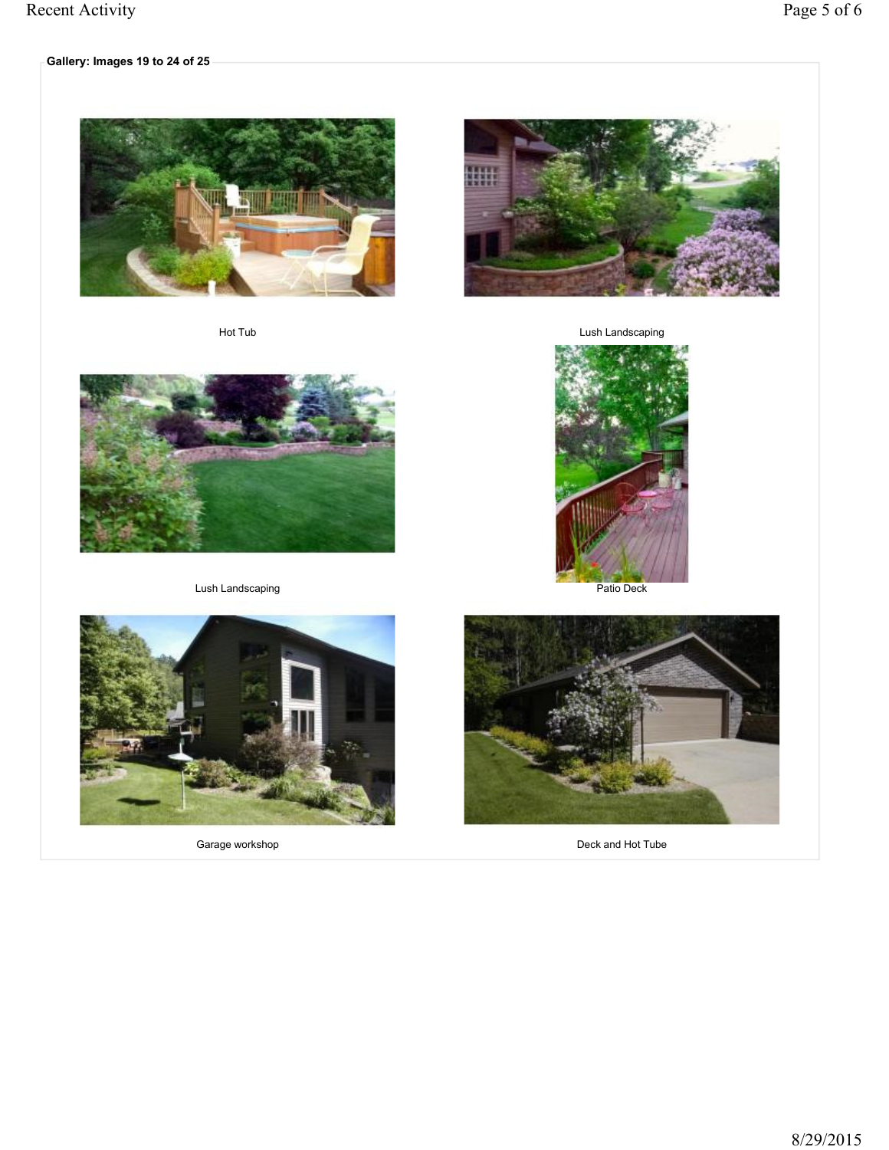



Hot Tub **Lush Landscaping** 



Lush Landscaping Patio Deck







Garage workshop **Deck and Hot Tube** Deck and Hot Tube